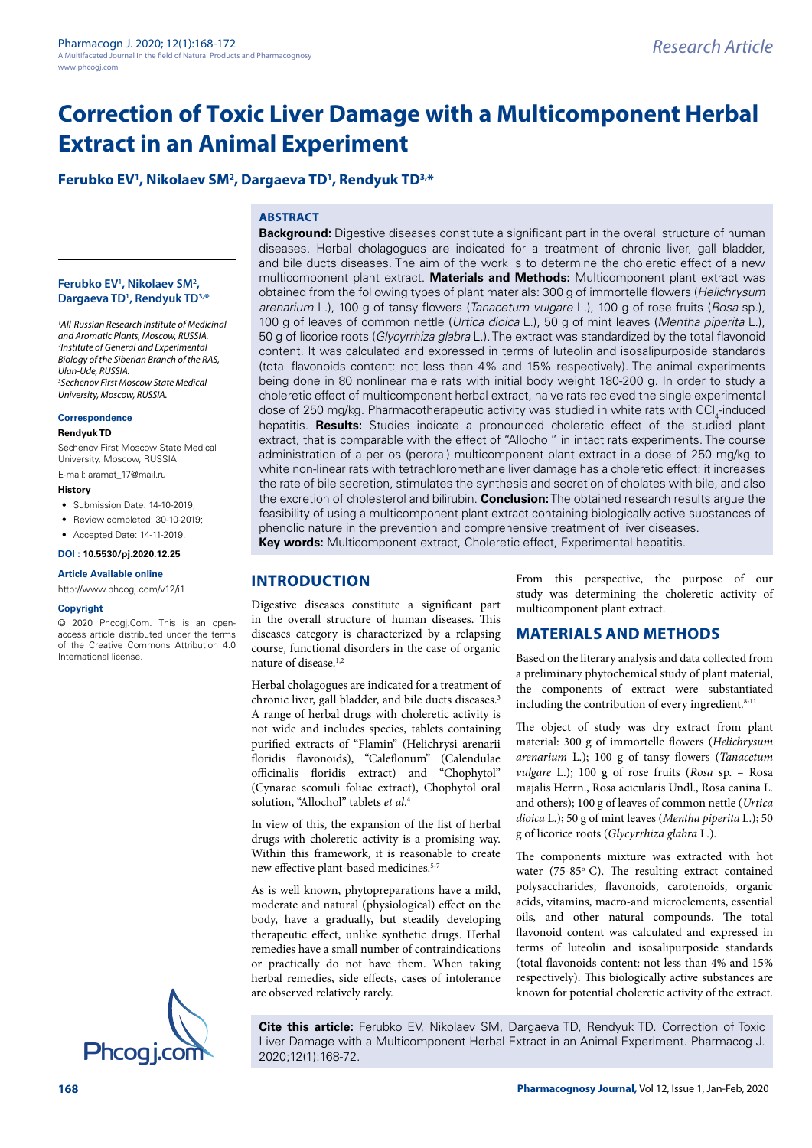**Ferubko EV1 , Nikolaev SM2 , Dargaeva TD1 , Rendyuk TD3,\***

## **ABSTRACT**

#### **Ferubko EV1 , Nikolaev SM2 , Dargaeva TD1 , Rendyuk TD3,\***

*1 All-Russian Research Institute of Medicinal and Aromatic Plants, Moscow, RUSSIA. 2 Institute of General and Experimental Biology of the Siberian Branch of the RAS, Ulan-Ude, RUSSIA. 3 Sechenov First Moscow State Medical University, Moscow, RUSSIA.*

#### **Correspondence**

#### **Rendyuk TD**

Sechenov First Moscow State Medical University, Moscow, RUSSIA E-mail: [aramat\\_17@mail.ru](mailto:aramat_17@mail.ru)

#### **History**

- Submission Date: 14-10-2019;
- Review completed: 30-10-2019;
- Accepted Date: 14-11-2019.

#### **DOI : 10.5530/pj.2020.12.25**

**Article Available online**  <http://www.phcogj.com/v12/i1>

#### **Copyright**

© 2020 Phcogj.Com. This is an openaccess article distributed under the terms of the Creative Commons Attribution 4.0 International license.



# multicomponent plant extract. **Materials and Methods:** Multicomponent plant extract was

obtained from the following types of plant materials: 300 g of immortelle flowers (*Helichrysum arenarium* L.), 100 g of tansy flowers (*Tanacetum vulgare* L.), 100 g of rose fruits (*Rosa* sp.), 100 g of leaves of common nettle (*Urtica dioica* L.), 50 g of mint leaves (*Mentha piperita* L.), 50 g of licorice roots (*Glycyrrhiza glabra* L.). The extract was standardized by the total flavonoid content. It was calculated and expressed in terms of luteolin and isosalipurposide standards (total flavonoids content: not less than 4% and 15% respectively). The animal experiments being done in 80 nonlinear male rats with initial body weight 180-200 g. In order to study a choleretic effect of multicomponent herbal extract, naive rats recieved the single experimental dose of 250 mg/kg. Pharmacotherapeutic activity was studied in white rats with CCl<sub>4</sub>-induced hepatitis. **Results:** Studies indicate a pronounced choleretic effect of the studied plant extract, that is comparable with the effect of "Allochol" in intact rats experiments. The course administration of a per os (peroral) multicomponent plant extract in a dose of 250 mg/kg to white non-linear rats with tetrachloromethane liver damage has a choleretic effect: it increases the rate of bile secretion, stimulates the synthesis and secretion of cholates with bile, and also the excretion of cholesterol and bilirubin. **Conclusion:** The obtained research results argue the feasibility of using a multicomponent plant extract containing biologically active substances of phenolic nature in the prevention and comprehensive treatment of liver diseases. **Key words:** Multicomponent extract, Choleretic effect, Experimental hepatitis.

**Background:** Digestive diseases constitute a significant part in the overall structure of human diseases. Herbal cholagogues are indicated for a treatment of chronic liver, gall bladder, and bile ducts diseases. The aim of the work is to determine the choleretic effect of a new

# **INTRODUCTION**

Digestive diseases constitute a significant part in the overall structure of human diseases. This diseases category is characterized by a relapsing course, functional disorders in the case of organic nature of disease.<sup>1,2</sup>

Herbal cholagogues are indicated for a treatment of chronic liver, gall bladder, and bile ducts diseases.<sup>3</sup> A range of herbal drugs with choleretic activity is not wide and includes species, tablets containing purified extracts of "Flamin" (Helichrysi arenarii floridis flavonoids), "Caleflonum" (Calendulae officinalis floridis extract) and "Chophytol" (Cynarae scomuli foliae extract), Chophytol oral solution, "Allochol" tablets *et al*. 4

In view of this, the expansion of the list of herbal drugs with choleretic activity is a promising way. Within this framework, it is reasonable to create new effective plant-based medicines.<sup>5-7</sup>

As is well known, phytopreparations have a mild, moderate and natural (physiological) effect on the body, have a gradually, but steadily developing therapeutic effect, unlike synthetic drugs. Herbal remedies have a small number of contraindications or practically do not have them. When taking herbal remedies, side effects, cases of intolerance are observed relatively rarely.

From this perspective, the purpose of our study was determining the choleretic activity of multicomponent plant extract.

## **MATERIALS AND METHODS**

Based on the literary analysis and data collected from a preliminary phytochemical study of plant material, the components of extract were substantiated including the contribution of every ingredient. $8-11$ 

The object of study was dry extract from plant material: 300 g of immortelle flowers (*Helichrysum arenarium* L.); 100 g of tansy flowers (*Tanacetum vulgare* L.); 100 g of rose fruits (*Rosa* sp. – Rosa majalis Herrn., Rosa acicularis Undl., Rosa canina L. and others); 100 g of leaves of common nettle (*Urtica dioica* L.); 50 g of mint leaves (*Mentha piperita* L.); 50 g of licorice roots (*Glycyrrhiza glabra* L.).

The components mixture was extracted with hot water (75-85°C). The resulting extract contained polysaccharides, flavonoids, carotenoids, organic acids, vitamins, macro-and microelements, essential oils, and other natural compounds. The total flavonoid content was calculated and expressed in terms of luteolin and isosalipurposide standards (total flavonoids content: not less than 4% and 15% respectively). This biologically active substances are known for potential choleretic activity of the extract.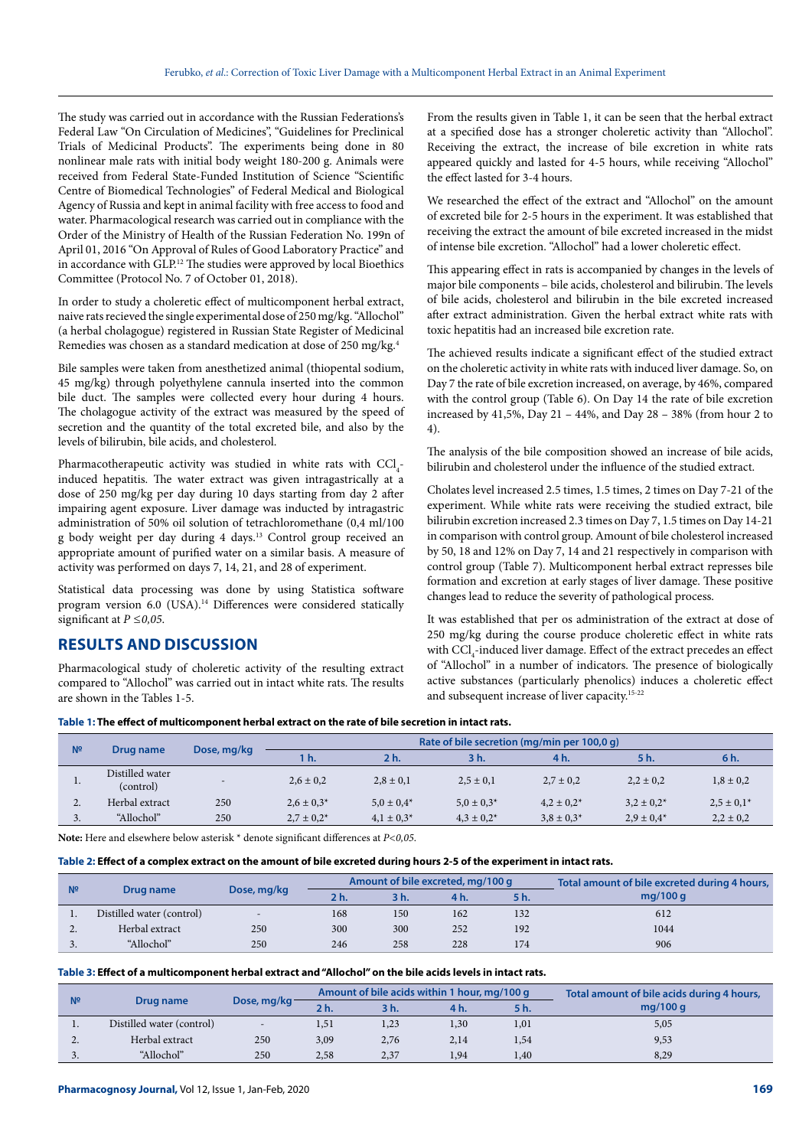The study was carried out in accordance with the Russian Federations's Federal Law "On Circulation of Medicines", "Guidelines for Preclinical Trials of Medicinal Products". The experiments being done in 80 nonlinear male rats with initial body weight 180-200 g. Animals were received from Federal State-Funded Institution of Science "Scientific Centre of Biomedical Technologies" of Federal Medical and Biological Agency of Russia and kept in animal facility with free access to food and water. Pharmacological research was carried out in compliance with the Order of the Ministry of Health of the Russian Federation No. 199n of April 01, 2016 "On Approval of Rules of Good Laboratory Practice" and in accordance with GLP.12 The studies were approved by local Bioethics Committee (Protocol No. 7 of October 01, 2018).

In order to study a choleretic effect of multicomponent herbal extract, naive rats recieved the single experimental dose of 250 mg/kg. "Allochol" (a herbal cholagogue) registered in Russian State Register of Medicinal Remedies was chosen as a standard medication at dose of 250 mg/kg.4

Bile samples were taken from anesthetized animal (thiopental sodium, 45 mg/kg) through polyethylene cannula inserted into the common bile duct. The samples were collected every hour during 4 hours. The cholagogue activity of the extract was measured by the speed of secretion and the quantity of the total excreted bile, and also by the levels of bilirubin, bile acids, and cholesterol.

Pharmacotherapeutic activity was studied in white rats with  $\text{CCI}_4$ induced hepatitis. The water extract was given intragastrically at a dose of 250 mg/kg per day during 10 days starting from day 2 after impairing agent exposure. Liver damage was inducted by intragastric administration of 50% oil solution of tetrachloromethane (0,4 ml/100 g body weight per day during 4 days.13 Control group received an appropriate amount of purified water on a similar basis. A measure of activity was performed on days 7, 14, 21, and 28 of experiment.

Statistical data processing was done by using Statistica software program version 6.0 (USA).<sup>14</sup> Differences were considered statically significant at *P ≤0,05*.

## **RESULTS AND DISCUSSION**

Pharmacological study of choleretic activity of the resulting extract compared to "Allochol" was carried out in intact white rats. The results are shown in the Tables 1-5.

From the results given in Table 1, it can be seen that the herbal extract at a specified dose has a stronger choleretic activity than "Allochol". Receiving the extract, the increase of bile excretion in white rats appeared quickly and lasted for 4-5 hours, while receiving "Allochol" the effect lasted for 3-4 hours.

We researched the effect of the extract and "Allochol" on the amount of excreted bile for 2-5 hours in the experiment. It was established that receiving the extract the amount of bile excreted increased in the midst of intense bile excretion. "Allochol" had a lower choleretic effect.

This appearing effect in rats is accompanied by changes in the levels of major bile components – bile acids, cholesterol and bilirubin. The levels of bile acids, cholesterol and bilirubin in the bile excreted increased after extract administration. Given the herbal extract white rats with toxic hepatitis had an increased bile excretion rate.

The achieved results indicate a significant effect of the studied extract on the choleretic activity in white rats with induced liver damage. So, on Day 7 the rate of bile excretion increased, on average, by 46%, compared with the control group (Table 6). On Day 14 the rate of bile excretion increased by 41,5%, Day 21 – 44%, and Day 28 – 38% (from hour 2 to 4).

The analysis of the bile composition showed an increase of bile acids, bilirubin and cholesterol under the influence of the studied extract.

Cholates level increased 2.5 times, 1.5 times, 2 times on Day 7-21 of the experiment. While white rats were receiving the studied extract, bile bilirubin excretion increased 2.3 times on Day 7, 1.5 times on Day 14-21 in comparison with control group. Amount of bile cholesterol increased by 50, 18 and 12% on Day 7, 14 and 21 respectively in comparison with control group (Table 7). Multicomponent herbal extract represses bile formation and excretion at early stages of liver damage. These positive changes lead to reduce the severity of pathological process.

It was established that per os administration of the extract at dose of 250 mg/kg during the course produce choleretic effect in white rats with  $\mathrm{CCl}_{_4}\text{-induced liver damage. Effect of the extract precedes an effect}$ of "Allochol" in a number of indicators. The presence of biologically active substances (particularly phenolics) induces a choleretic effect and subsequent increase of liver capacity.15-22

#### **Table 1: The effect of multicomponent herbal extract on the rate of bile secretion in intact rats.**

| N <sup>2</sup> | Drug name                    | Dose, mg/kg              | Rate of bile secretion (mg/min per 100,0 g) |                 |                 |                 |                 |                  |  |
|----------------|------------------------------|--------------------------|---------------------------------------------|-----------------|-----------------|-----------------|-----------------|------------------|--|
|                |                              |                          | h.                                          | 2 h.            | 3 h.            | 4 h.            | 5 h.            | 6 <sub>h</sub> . |  |
|                | Distilled water<br>(control) | $\overline{\phantom{0}}$ | $2,6 \pm 0.2$                               | $2,8 \pm 0,1$   | $2,5 \pm 0,1$   | $2.7 \pm 0.2$   | $2,2 \pm 0,2$   | $1,8 \pm 0,2$    |  |
| ۷.             | Herbal extract               | 250                      | $2,6 \pm 0.3*$                              | $5.0 \pm 0.4^*$ | $5.0 \pm 0.3^*$ | $4.2 \pm 0.2^*$ | $3.2 \pm 0.2^*$ | $2.5 \pm 0.1*$   |  |
| J.             | "Allochol"                   | 250                      | $2.7 \pm 0.2^*$                             | $4.1 \pm 0.3^*$ | $4.3 \pm 0.2^*$ | $3.8 \pm 0.3^*$ | $2.9 \pm 0.4*$  | $2,2 \pm 0,2$    |  |

**Note:** Here and elsewhere below asterisk \* denote significant differences at *P<0,05*.

**Table 2: Effect of a complex extract on the amount of bile excreted during hours 2-5 of the experiment in intact rats.**

| N <sup>2</sup> |                           | Dose, mg/kg |        |      | Amount of bile excreted, mg/100 g | Total amount of bile excreted during 4 hours, |            |
|----------------|---------------------------|-------------|--------|------|-----------------------------------|-----------------------------------------------|------------|
|                | Drug name                 |             | $2h$ . | 3 h. | 4 h.                              | 5 h.                                          | mg/100 $q$ |
|                | Distilled water (control) |             | 168    | 150  | 162                               | 132                                           | 612        |
| <u>.</u>       | Herbal extract            | 250         | 300    | 300  | 252                               | 192                                           | 1044       |
| <u>.</u>       | "Allochol"                | 250         | 246    | 258  | 228                               | 174                                           | 906        |

#### **Table 3: Effect of a multicomponent herbal extract and "Allochol" on the bile acids levels in intact rats.**

|                |                           |                          |      | Amount of bile acids within 1 hour, mg/100 g |                  | Total amount of bile acids during 4 hours, |            |
|----------------|---------------------------|--------------------------|------|----------------------------------------------|------------------|--------------------------------------------|------------|
| N <sup>2</sup> | Drug name                 | Dose, mg/kg-             | 2 h. | 3 h.                                         | 4 <sub>h</sub> . |                                            | mg/100 $q$ |
|                | Distilled water (control) | $\overline{\phantom{0}}$ | 1,51 | 1,23                                         | 1,30             | 1,01                                       | 5,05       |
| <u>.</u>       | Herbal extract            | 250                      | 3,09 | 2,76                                         | 2,14             | 1,54                                       | 9,53       |
| $\sim$ .       | "Allochol"                | 250                      | 2,58 | 2,37                                         | 1,94             | 1,40                                       | 8,29       |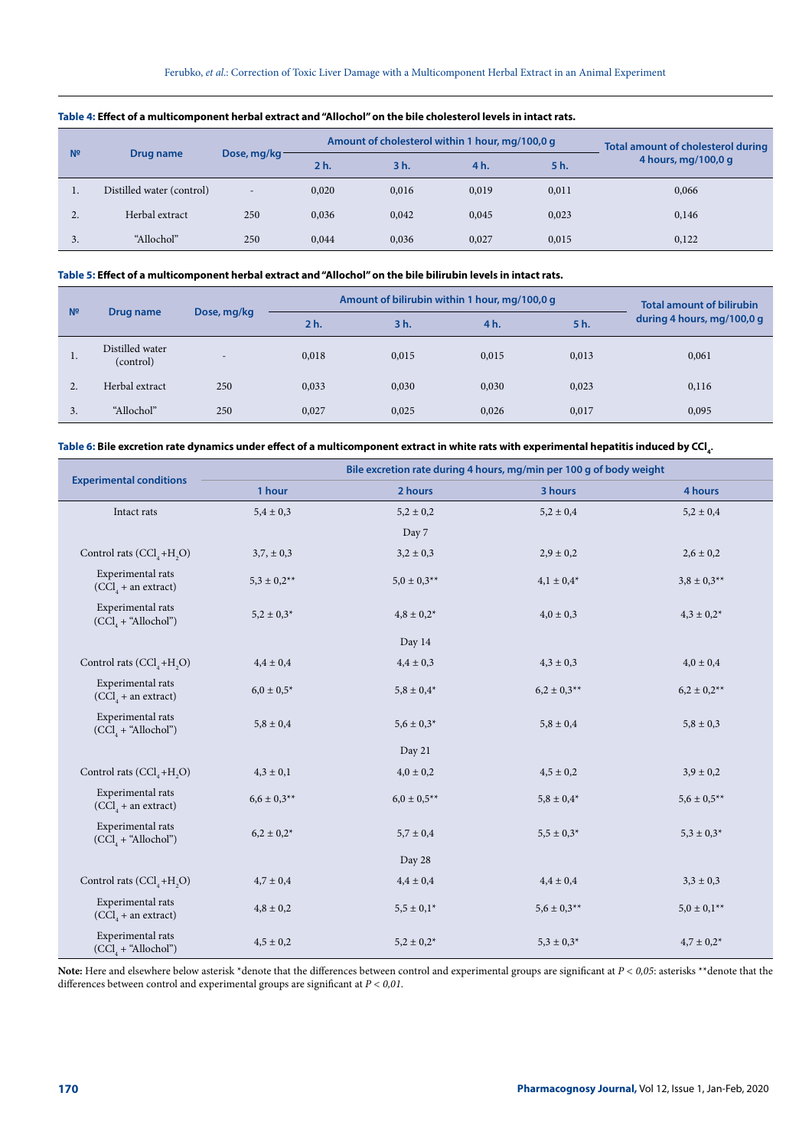| N <sup>2</sup> | Drug name                 | Dose, mg/kg-             |       | Amount of cholesterol within 1 hour, mg/100,0 g | <b>Total amount of cholesterol during</b> |       |                     |
|----------------|---------------------------|--------------------------|-------|-------------------------------------------------|-------------------------------------------|-------|---------------------|
|                |                           |                          | 2 h.  | 3h.                                             | 4 h.                                      | 5 h.  | 4 hours, mg/100,0 g |
|                | Distilled water (control) | $\overline{\phantom{a}}$ | 0,020 | 0.016                                           | 0,019                                     | 0,011 | 0,066               |
| $\gamma$<br>۷. | Herbal extract            | 250                      | 0,036 | 0,042                                           | 0,045                                     | 0,023 | 0,146               |
| 3.             | "Allochol"                | 250                      | 0.044 | 0.036                                           | 0,027                                     | 0,015 | 0,122               |

### **Table 4: Effect of a multicomponent herbal extract and "Allochol" on the bile cholesterol levels in intact rats.**

## **Table 5: Effect of a multicomponent herbal extract and "Allochol" on the bile bilirubin levels in intact rats.**

| N <sup>2</sup> | Drug name                    | Dose, mg/kg              |                | Amount of bilirubin within 1 hour, mg/100,0 g | <b>Total amount of bilirubin</b> |       |                            |
|----------------|------------------------------|--------------------------|----------------|-----------------------------------------------|----------------------------------|-------|----------------------------|
|                |                              |                          | 2 <sub>h</sub> | 3 h.                                          | 4 h.                             | 5 h.  | during 4 hours, mg/100,0 g |
| $\cdot$        | Distilled water<br>(control) | $\overline{\phantom{0}}$ | 0,018          | 0,015                                         | 0,015                            | 0,013 | 0,061                      |
| 2.             | Herbal extract               | 250                      | 0,033          | 0,030                                         | 0,030                            | 0,023 | 0,116                      |
| 3.             | "Allochol"                   | 250                      | 0,027          | 0,025                                         | 0,026                            | 0,017 | 0,095                      |

#### Table 6: Bile excretion rate dynamics under effect of a multicomponent extract in white rats with experimental hepatitis induced by CCl<sub>4</sub>

|                                            | Bile excretion rate during 4 hours, mg/min per 100 g of body weight |                 |                  |                    |  |  |  |  |  |
|--------------------------------------------|---------------------------------------------------------------------|-----------------|------------------|--------------------|--|--|--|--|--|
| <b>Experimental conditions</b>             | 1 hour                                                              | 2 hours         | 3 hours          | 4 hours            |  |  |  |  |  |
| Intact rats                                | $5,4 \pm 0,3$                                                       | $5,2 \pm 0,2$   | $5,2 \pm 0,4$    | $5,2 \pm 0,4$      |  |  |  |  |  |
|                                            |                                                                     | Day 7           |                  |                    |  |  |  |  |  |
| Control rats $(CCl4+H2O)$                  | $3,7, \pm 0,3$                                                      | $3,2 \pm 0,3$   | $2,9 \pm 0,2$    | $2,6 \pm 0,2$      |  |  |  |  |  |
| Experimental rats<br>$(CCl4 + an extract)$ | $5,3 \pm 0,2^{**}$                                                  | $5.0 \pm 0.3**$ | $4,1 \pm 0.4*$   | $3.8 \pm 0.3**$    |  |  |  |  |  |
| Experimental rats<br>$(CCl4 + "Allochol")$ | $5,2 \pm 0,3^*$                                                     | $4,8 \pm 0,2^*$ | $4,0 \pm 0,3$    | $4,3 \pm 0,2^*$    |  |  |  |  |  |
|                                            |                                                                     | Day 14          |                  |                    |  |  |  |  |  |
| Control rats $(CCl4+H2O)$                  | $4.4 \pm 0.4$                                                       | $4,4 \pm 0,3$   | $4,3 \pm 0,3$    | $4,0 \pm 0,4$      |  |  |  |  |  |
| Experimental rats<br>$(CClA + an extract)$ | $6.0 \pm 0.5*$                                                      | $5.8\pm0.4^*$   | $6.2 \pm 0.3$ ** | $6.2 \pm 0.2**$    |  |  |  |  |  |
| Experimental rats<br>$(CCl4 + "Allochol")$ | $5,8 \pm 0,4$                                                       | $5.6 \pm 0.3*$  | $5,8 \pm 0,4$    | $5,8 \pm 0,3$      |  |  |  |  |  |
|                                            |                                                                     | Day 21          |                  |                    |  |  |  |  |  |
| Control rats $(CCl4+H2O)$                  | $4,3 \pm 0,1$                                                       | $4,0 \pm 0,2$   | $4,5 \pm 0,2$    | $3,9 \pm 0,2$      |  |  |  |  |  |
| Experimental rats<br>$(CCl4 + an extract)$ | $6.6 \pm 0.3**$                                                     | $6.0 \pm 0.5**$ | $5,8 \pm 0.4*$   | $5,6 \pm 0.5***$   |  |  |  |  |  |
| Experimental rats<br>$(CCl4 + "Allochol")$ | $6.2\pm0.2^*$                                                       | $5,7 \pm 0,4$   | $5.5\pm0.3^*$    | $5,3 \pm 0,3^*$    |  |  |  |  |  |
|                                            |                                                                     | Day 28          |                  |                    |  |  |  |  |  |
| Control rats $(CCl4+H2O)$                  | $4,7 \pm 0.4$                                                       | $4,4 \pm 0,4$   | $4,4 \pm 0,4$    | $3,3 \pm 0,3$      |  |  |  |  |  |
| Experimental rats<br>$(CCl4 + an extract)$ | $4,8 \pm 0,2$                                                       | $5,5 \pm 0.1^*$ | $5.6 \pm 0.3**$  | $5,0 \pm 0,1^{**}$ |  |  |  |  |  |
| Experimental rats<br>$(CCl4 + "Allochol")$ | $4,5 \pm 0,2$                                                       | $5,2 \pm 0,2^*$ | $5,3 \pm 0,3^*$  | $4.7 \pm 0.2^*$    |  |  |  |  |  |

**Note:** Here and elsewhere below asterisk \*denote that the differences between control and experimental groups are significant at *P < 0,05*: asterisks \*\*denote that the differences between control and experimental groups are significant at *P < 0,01*.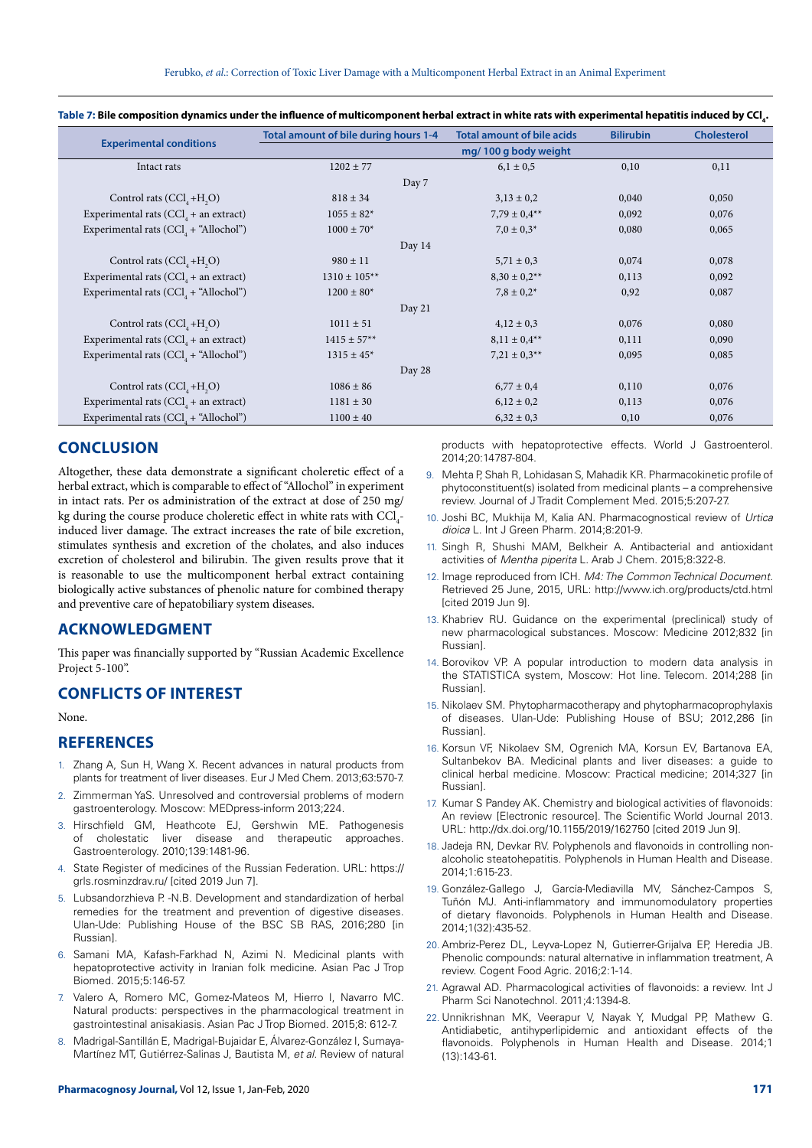|                                                   | Total amount of bile during hours 1-4 | <b>Total amount of bile acids</b> | <b>Bilirubin</b> | <b>Cholesterol</b> |
|---------------------------------------------------|---------------------------------------|-----------------------------------|------------------|--------------------|
| <b>Experimental conditions</b>                    |                                       | mg/100 g body weight              |                  |                    |
| Intact rats                                       | $1202 \pm 77$                         | $6,1 \pm 0.5$                     | 0,10             | 0,11               |
|                                                   | Day 7                                 |                                   |                  |                    |
| Control rats $(CCl4+H2O)$                         | $818 \pm 34$                          | $3,13 \pm 0,2$                    | 0,040            | 0,050              |
| Experimental rats (CCl <sub>4</sub> + an extract) | $1055 \pm 82*$                        | $7,79 \pm 0.4***$                 | 0,092            | 0,076              |
| Experimental rats $(CCl4 + "Allochol")$           | $1000 \pm 70*$                        | $7.0 \pm 0.3*$                    | 0,080            | 0,065              |
|                                                   | Day 14                                |                                   |                  |                    |
| Control rats $(CCl, +H, O)$                       | $980 \pm 11$                          | $5,71 \pm 0,3$                    | 0,074            | 0,078              |
| Experimental rats $(CCl4 + an extract)$           | $1310 \pm 105**$                      | $8,30 \pm 0.2$ **                 | 0,113            | 0,092              |
| Experimental rats $(CCl4 + "Allochol")$           | $1200 \pm 80^*$                       | $7.8 \pm 0.2^*$                   | 0,92             | 0,087              |
|                                                   | Day 21                                |                                   |                  |                    |
| Control rats $(CCl4+H2O)$                         | $1011 \pm 51$                         | $4,12 \pm 0,3$                    | 0,076            | 0,080              |
| Experimental rats $(CCl4 + an extract)$           | $1415 \pm 57**$                       | $8,11 \pm 0.4**$                  | 0,111            | 0,090              |
| Experimental rats (CCl <sub>4</sub> + "Allochol") | $1315 \pm 45$ <sup>*</sup>            | $7,21 \pm 0.3**$                  | 0,095            | 0,085              |
|                                                   | Day 28                                |                                   |                  |                    |
| Control rats $(CCl4+H2O)$                         | $1086 \pm 86$                         | $6,77 \pm 0.4$                    | 0,110            | 0,076              |
| Experimental rats $(CCl4 + an extract)$           | $1181 \pm 30$                         | $6,12 \pm 0,2$                    | 0,113            | 0,076              |
| Experimental rats $(CCl4 + "AllochoI")$           | $1100 \pm 40$                         | $6,32 \pm 0,3$                    | 0,10             | 0,076              |

Table 7: Bile composition dynamics under the influence of multicomponent herbal extract in white rats with experimental hepatitis induced by CCl<sub>4</sub>.

## **CONCLUSION**

Altogether, these data demonstrate a significant choleretic effect of a herbal extract, which is comparable to effect of "Allochol" in experiment in intact rats. Per os administration of the extract at dose of 250 mg/ kg during the course produce choleretic effect in white rats with  $\mathrm{CCl}_{\scriptscriptstyle 4}$ induced liver damage. The extract increases the rate of bile excretion, stimulates synthesis and excretion of the cholates, and also induces excretion of cholesterol and bilirubin. The given results prove that it is reasonable to use the multicomponent herbal extract containing biologically active substances of phenolic nature for combined therapy and preventive care of hepatobiliary system diseases.

## **ACKNOWLEDGMENT**

This paper was financially supported by "Russian Academic Excellence Project 5-100".

## **CONFLICTS OF INTEREST**

None.

## **REFERENCES**

- 1. Zhang A, Sun H, Wang X. Recent advances in natural products from plants for treatment of liver diseases. Eur J Med Chem. 2013;63:570-7.
- Zimmerman YaS. Unresolved and controversial problems of modern gastroenterology. Moscow: MEDpress-inform 2013;224.
- 3. Hirschfield GM, Heathcote EJ, Gershwin ME. Pathogenesis of cholestatic liver disease and therapeutic approaches. Gastroenterology. 2010;139:1481-96.
- 4. State Register of medicines of the Russian Federation. URL: https:// grls.rosminzdrav.ru/ [cited 2019 Jun 7].
- 5. Lubsandorzhieva P. -N.B. Development and standardization of herbal remedies for the treatment and prevention of digestive diseases. Ulan-Ude: Publishing House of the BSC SB RAS, 2016;280 [in Russian].
- 6. Samani MA, Kafash-Farkhad N, Azimi N. Medicinal plants with hepatoprotective activity in Iranian folk medicine. Asian Pac J Trop Biomed. 2015;5:146-57.
- 7. Valero A, Romero MC, Gomez-Mateos M, Hierro I, Navarro MC. Natural products: perspectives in the pharmacological treatment in gastrointestinal anisakiasis. Asian Pac J Trop Biomed. 2015;8: 612-7.
- 8. Madrigal-Santillán E, Madrigal-Bujaidar E, Álvarez-González I, Sumaya-Martínez MT, Gutiérrez-Salinas J, Bautista M, *et al.* Review of natural

products with hepatoprotective effects. World J Gastroenterol. 2014;20:14787-804.

- 9. Mehta P, Shah R, Lohidasan S, Mahadik KR. Pharmacokinetic profile of phytoconstituent(s) isolated from medicinal plants – a comprehensive review. Journal of J Tradit Complement Med. 2015;5:207-27.
- 10. Joshi BC, Mukhija M, Kalia AN. Pharmacognostical review of *Urtica dioica* L. Int J Green Pharm. 2014;8:201-9.
- 11. Singh R, Shushi MAM, Belkheir A. Antibacterial and antioxidant activities of *Mentha piperita* L. Arab J Chem. 2015;8:322-8.
- 12. Image reproduced from ICH. *M4: The Common Technical Document.* Retrieved 25 June, 2015, URL: http://www.ich.org/products/ctd.html [cited 2019 Jun 9].
- 13. Khabriev RU. Guidance on the experimental (preclinical) study of new pharmacological substances. Moscow: Medicine 2012;832 [in Russian].
- 14. Borovikov VP. A popular introduction to modern data analysis in the STATISTICA system, Moscow: Hot line. Telecom. 2014;288 [in Russian].
- 15. Nikolaev SM. Phytopharmacotherapy and phytopharmacoprophylaxis of diseases. Ulan-Ude: Publishing House of BSU; 2012,286 [in Russian].
- 16. Korsun VF, Nikolaev SM, Ogrenich MA, Korsun EV, Bartanova EA, Sultanbekov BA. Medicinal plants and liver diseases: a guide to clinical herbal medicine. Moscow: Practical medicine; 2014;327 [in Russian].
- 17. Kumar S Pandey AK. Chemistry and biological activities of flavonoids: An review [Electronic resource]. The Scientific World Journal 2013. URL: http://dx.doi.org/10.1155/2019/162750 [cited 2019 Jun 9].
- 18. Jadeja RN, Devkar RV. Polyphenols and flavonoids in controlling nonalcoholic steatohepatitis. Polyphenols in Human Health and Disease. 2014;1:615-23.
- 19. González-Gallego J, García-Mediavilla MV, Sánchez-Campos S, Tuñón MJ. Anti-inflammatory and immunomodulatory properties of dietary flavonoids. Polyphenols in Human Health and Disease. 2014;1(32):435-52.
- 20. Ambriz-Perez DL, Leyva-Lopez N, Gutierrer-Grijalva EP, Heredia JB. Phenolic compounds: natural alternative in inflammation treatment, A review. Cogent Food Agric. 2016;2:1-14.
- 21. Agrawal AD. Pharmacological activities of flavonoids: a review. Int J Pharm Sci Nanotechnol. 2011;4:1394-8.
- 22. Unnikrishnan MK, Veerapur V, Nayak Y, Mudgal PP, Mathew G. Antidiabetic, antihyperlipidemic and antioxidant effects of the flavonoids. Polyphenols in Human Health and Disease. 2014;1  $(13) \cdot 143 - 61$